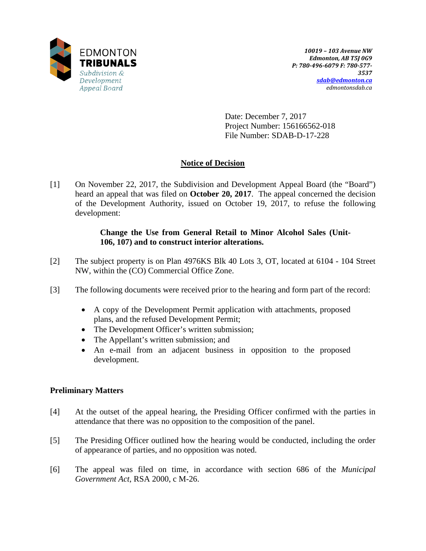

Date: December 7, 2017 Project Number: 156166562-018 File Number: SDAB-D-17-228

## **Notice of Decision**

[1] On November 22, 2017, the Subdivision and Development Appeal Board (the "Board") heard an appeal that was filed on **October 20, 2017**. The appeal concerned the decision of the Development Authority, issued on October 19, 2017, to refuse the following development:

### **Change the Use from General Retail to Minor Alcohol Sales (Unit-106, 107) and to construct interior alterations.**

- [2] The subject property is on Plan 4976KS Blk 40 Lots 3, OT, located at 6104 104 Street NW, within the (CO) Commercial Office Zone.
- [3] The following documents were received prior to the hearing and form part of the record:
	- A copy of the Development Permit application with attachments, proposed plans, and the refused Development Permit;
	- The Development Officer's written submission;
	- The Appellant's written submission; and
	- An e-mail from an adjacent business in opposition to the proposed development.

#### **Preliminary Matters**

- [4] At the outset of the appeal hearing, the Presiding Officer confirmed with the parties in attendance that there was no opposition to the composition of the panel.
- [5] The Presiding Officer outlined how the hearing would be conducted, including the order of appearance of parties, and no opposition was noted.
- [6] The appeal was filed on time, in accordance with section 686 of the *Municipal Government Act*, RSA 2000, c M-26.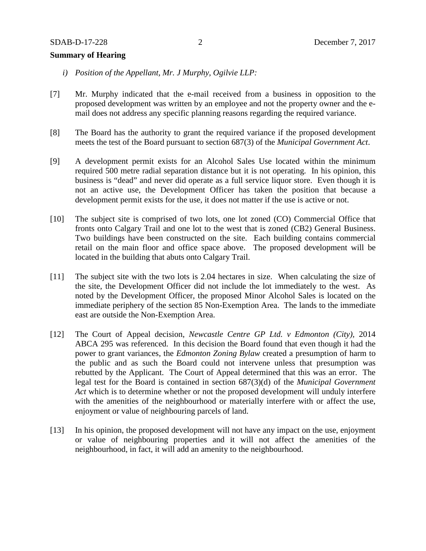#### **Summary of Hearing**

- *i) Position of the Appellant, Mr. J Murphy, Ogilvie LLP:*
- [7] Mr. Murphy indicated that the e-mail received from a business in opposition to the proposed development was written by an employee and not the property owner and the email does not address any specific planning reasons regarding the required variance.
- [8] The Board has the authority to grant the required variance if the proposed development meets the test of the Board pursuant to section 687(3) of the *Municipal Government Act*.
- [9] A development permit exists for an Alcohol Sales Use located within the minimum required 500 metre radial separation distance but it is not operating. In his opinion, this business is "dead" and never did operate as a full service liquor store. Even though it is not an active use, the Development Officer has taken the position that because a development permit exists for the use, it does not matter if the use is active or not.
- [10] The subject site is comprised of two lots, one lot zoned (CO) Commercial Office that fronts onto Calgary Trail and one lot to the west that is zoned (CB2) General Business. Two buildings have been constructed on the site. Each building contains commercial retail on the main floor and office space above. The proposed development will be located in the building that abuts onto Calgary Trail.
- [11] The subject site with the two lots is 2.04 hectares in size. When calculating the size of the site, the Development Officer did not include the lot immediately to the west. As noted by the Development Officer, the proposed Minor Alcohol Sales is located on the immediate periphery of the section 85 Non-Exemption Area. The lands to the immediate east are outside the Non-Exemption Area.
- [12] The Court of Appeal decision, *Newcastle Centre GP Ltd. v Edmonton (City),* 2014 ABCA 295 was referenced. In this decision the Board found that even though it had the power to grant variances, the *Edmonton Zoning Bylaw* created a presumption of harm to the public and as such the Board could not intervene unless that presumption was rebutted by the Applicant. The Court of Appeal determined that this was an error. The legal test for the Board is contained in section 687(3)(d) of the *Municipal Government Act* which is to determine whether or not the proposed development will unduly interfere with the amenities of the neighbourhood or materially interfere with or affect the use, enjoyment or value of neighbouring parcels of land.
- [13] In his opinion, the proposed development will not have any impact on the use, enjoyment or value of neighbouring properties and it will not affect the amenities of the neighbourhood, in fact, it will add an amenity to the neighbourhood.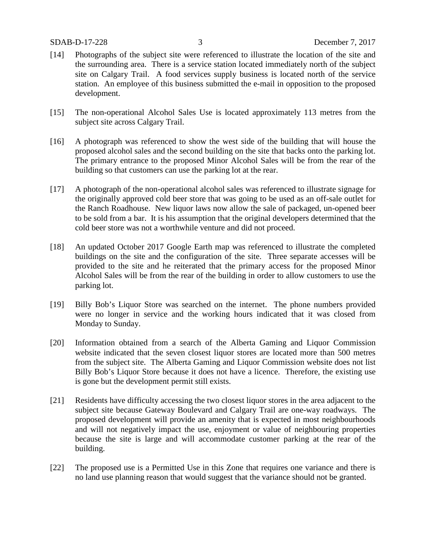- [14] Photographs of the subject site were referenced to illustrate the location of the site and the surrounding area. There is a service station located immediately north of the subject site on Calgary Trail. A food services supply business is located north of the service station. An employee of this business submitted the e-mail in opposition to the proposed development.
- [15] The non-operational Alcohol Sales Use is located approximately 113 metres from the subject site across Calgary Trail.
- [16] A photograph was referenced to show the west side of the building that will house the proposed alcohol sales and the second building on the site that backs onto the parking lot. The primary entrance to the proposed Minor Alcohol Sales will be from the rear of the building so that customers can use the parking lot at the rear.
- [17] A photograph of the non-operational alcohol sales was referenced to illustrate signage for the originally approved cold beer store that was going to be used as an off-sale outlet for the Ranch Roadhouse. New liquor laws now allow the sale of packaged, un-opened beer to be sold from a bar. It is his assumption that the original developers determined that the cold beer store was not a worthwhile venture and did not proceed.
- [18] An updated October 2017 Google Earth map was referenced to illustrate the completed buildings on the site and the configuration of the site. Three separate accesses will be provided to the site and he reiterated that the primary access for the proposed Minor Alcohol Sales will be from the rear of the building in order to allow customers to use the parking lot.
- [19] Billy Bob's Liquor Store was searched on the internet. The phone numbers provided were no longer in service and the working hours indicated that it was closed from Monday to Sunday.
- [20] Information obtained from a search of the Alberta Gaming and Liquor Commission website indicated that the seven closest liquor stores are located more than 500 metres from the subject site. The Alberta Gaming and Liquor Commission website does not list Billy Bob's Liquor Store because it does not have a licence. Therefore, the existing use is gone but the development permit still exists.
- [21] Residents have difficulty accessing the two closest liquor stores in the area adjacent to the subject site because Gateway Boulevard and Calgary Trail are one-way roadways. The proposed development will provide an amenity that is expected in most neighbourhoods and will not negatively impact the use, enjoyment or value of neighbouring properties because the site is large and will accommodate customer parking at the rear of the building.
- [22] The proposed use is a Permitted Use in this Zone that requires one variance and there is no land use planning reason that would suggest that the variance should not be granted.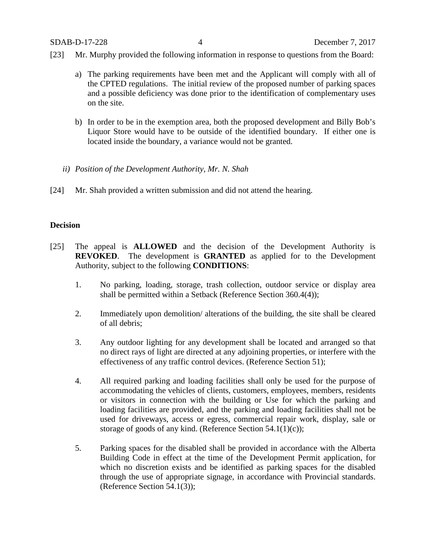- [23] Mr. Murphy provided the following information in response to questions from the Board:
	- a) The parking requirements have been met and the Applicant will comply with all of the CPTED regulations. The initial review of the proposed number of parking spaces and a possible deficiency was done prior to the identification of complementary uses on the site.
	- b) In order to be in the exemption area, both the proposed development and Billy Bob's Liquor Store would have to be outside of the identified boundary. If either one is located inside the boundary, a variance would not be granted.
	- *ii) Position of the Development Authority, Mr. N. Shah*
- [24] Mr. Shah provided a written submission and did not attend the hearing.

#### **Decision**

- [25] The appeal is **ALLOWED** and the decision of the Development Authority is **REVOKED**. The development is **GRANTED** as applied for to the Development Authority, subject to the following **CONDITIONS**:
	- 1. No parking, loading, storage, trash collection, outdoor service or display area shall be permitted within a Setback (Reference Section 360.4(4));
	- 2. Immediately upon demolition/ alterations of the building, the site shall be cleared of all debris;
	- 3. Any outdoor lighting for any development shall be located and arranged so that no direct rays of light are directed at any adjoining properties, or interfere with the effectiveness of any traffic control devices. (Reference Section 51);
	- 4. All required parking and loading facilities shall only be used for the purpose of accommodating the vehicles of clients, customers, employees, members, residents or visitors in connection with the building or Use for which the parking and loading facilities are provided, and the parking and loading facilities shall not be used for driveways, access or egress, commercial repair work, display, sale or storage of goods of any kind. (Reference Section 54.1(1)(c));
	- 5. Parking spaces for the disabled shall be provided in accordance with the Alberta Building Code in effect at the time of the Development Permit application, for which no discretion exists and be identified as parking spaces for the disabled through the use of appropriate signage, in accordance with Provincial standards. (Reference Section 54.1(3));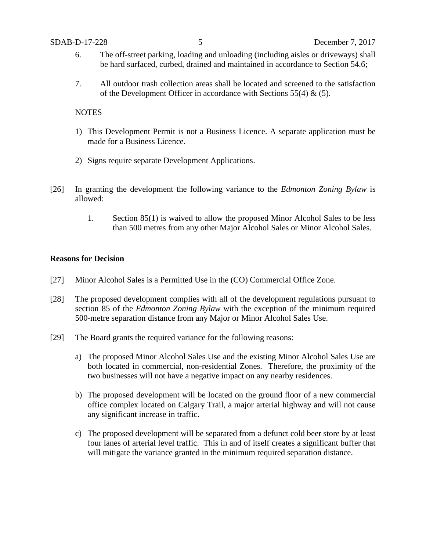- 6. The off-street parking, loading and unloading (including aisles or driveways) shall be hard surfaced, curbed, drained and maintained in accordance to Section 54.6;
- 7. All outdoor trash collection areas shall be located and screened to the satisfaction of the Development Officer in accordance with Sections 55(4)  $\&$  (5).

#### **NOTES**

- 1) This Development Permit is not a Business Licence. A separate application must be made for a Business Licence.
- 2) Signs require separate Development Applications.
- [26] In granting the development the following variance to the *Edmonton Zoning Bylaw* is allowed:
	- 1. Section 85(1) is waived to allow the proposed Minor Alcohol Sales to be less than 500 metres from any other Major Alcohol Sales or Minor Alcohol Sales.

#### **Reasons for Decision**

- [27] Minor Alcohol Sales is a Permitted Use in the (CO) Commercial Office Zone.
- [28] The proposed development complies with all of the development regulations pursuant to section 85 of the *Edmonton Zoning Bylaw* with the exception of the minimum required 500-metre separation distance from any Major or Minor Alcohol Sales Use.
- [29] The Board grants the required variance for the following reasons:
	- a) The proposed Minor Alcohol Sales Use and the existing Minor Alcohol Sales Use are both located in commercial, non-residential Zones. Therefore, the proximity of the two businesses will not have a negative impact on any nearby residences.
	- b) The proposed development will be located on the ground floor of a new commercial office complex located on Calgary Trail, a major arterial highway and will not cause any significant increase in traffic.
	- c) The proposed development will be separated from a defunct cold beer store by at least four lanes of arterial level traffic. This in and of itself creates a significant buffer that will mitigate the variance granted in the minimum required separation distance.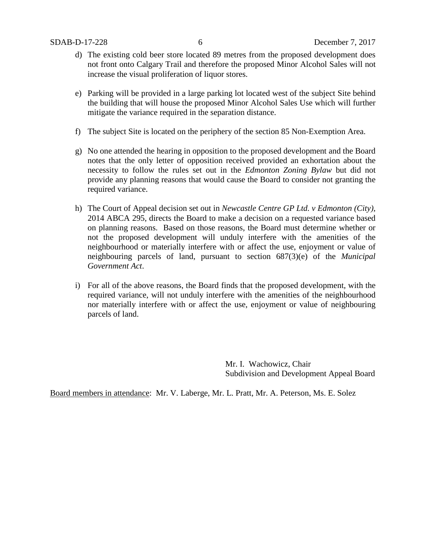- d) The existing cold beer store located 89 metres from the proposed development does not front onto Calgary Trail and therefore the proposed Minor Alcohol Sales will not increase the visual proliferation of liquor stores.
- e) Parking will be provided in a large parking lot located west of the subject Site behind the building that will house the proposed Minor Alcohol Sales Use which will further mitigate the variance required in the separation distance.
- f) The subject Site is located on the periphery of the section 85 Non-Exemption Area.
- g) No one attended the hearing in opposition to the proposed development and the Board notes that the only letter of opposition received provided an exhortation about the necessity to follow the rules set out in the *Edmonton Zoning Bylaw* but did not provide any planning reasons that would cause the Board to consider not granting the required variance.
- h) The Court of Appeal decision set out in *Newcastle Centre GP Ltd. v Edmonton (City),*  2014 ABCA 295, directs the Board to make a decision on a requested variance based on planning reasons. Based on those reasons, the Board must determine whether or not the proposed development will unduly interfere with the amenities of the neighbourhood or materially interfere with or affect the use, enjoyment or value of neighbouring parcels of land, pursuant to section 687(3)(e) of the *Municipal Government Act*.
- i) For all of the above reasons, the Board finds that the proposed development, with the required variance, will not unduly interfere with the amenities of the neighbourhood nor materially interfere with or affect the use, enjoyment or value of neighbouring parcels of land.

Mr. I. Wachowicz, Chair Subdivision and Development Appeal Board

Board members in attendance: Mr. V. Laberge, Mr. L. Pratt, Mr. A. Peterson, Ms. E. Solez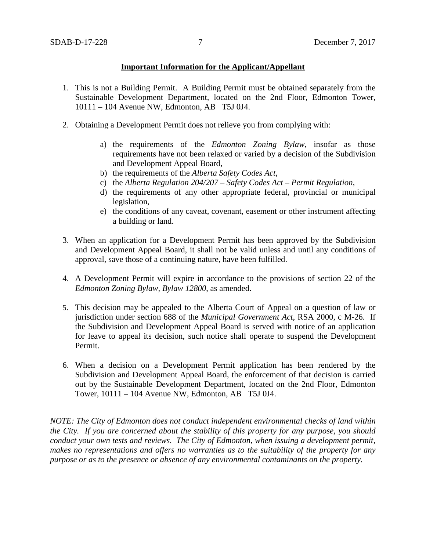#### **Important Information for the Applicant/Appellant**

- 1. This is not a Building Permit. A Building Permit must be obtained separately from the Sustainable Development Department, located on the 2nd Floor, Edmonton Tower, 10111 – 104 Avenue NW, Edmonton, AB T5J 0J4.
- 2. Obtaining a Development Permit does not relieve you from complying with:
	- a) the requirements of the *Edmonton Zoning Bylaw*, insofar as those requirements have not been relaxed or varied by a decision of the Subdivision and Development Appeal Board,
	- b) the requirements of the *Alberta Safety Codes Act*,
	- c) the *Alberta Regulation 204/207 – Safety Codes Act – Permit Regulation*,
	- d) the requirements of any other appropriate federal, provincial or municipal legislation,
	- e) the conditions of any caveat, covenant, easement or other instrument affecting a building or land.
- 3. When an application for a Development Permit has been approved by the Subdivision and Development Appeal Board, it shall not be valid unless and until any conditions of approval, save those of a continuing nature, have been fulfilled.
- 4. A Development Permit will expire in accordance to the provisions of section 22 of the *Edmonton Zoning Bylaw, Bylaw 12800*, as amended.
- 5. This decision may be appealed to the Alberta Court of Appeal on a question of law or jurisdiction under section 688 of the *Municipal Government Act*, RSA 2000, c M-26. If the Subdivision and Development Appeal Board is served with notice of an application for leave to appeal its decision, such notice shall operate to suspend the Development Permit.
- 6. When a decision on a Development Permit application has been rendered by the Subdivision and Development Appeal Board, the enforcement of that decision is carried out by the Sustainable Development Department, located on the 2nd Floor, Edmonton Tower, 10111 – 104 Avenue NW, Edmonton, AB T5J 0J4.

*NOTE: The City of Edmonton does not conduct independent environmental checks of land within the City. If you are concerned about the stability of this property for any purpose, you should conduct your own tests and reviews. The City of Edmonton, when issuing a development permit, makes no representations and offers no warranties as to the suitability of the property for any purpose or as to the presence or absence of any environmental contaminants on the property.*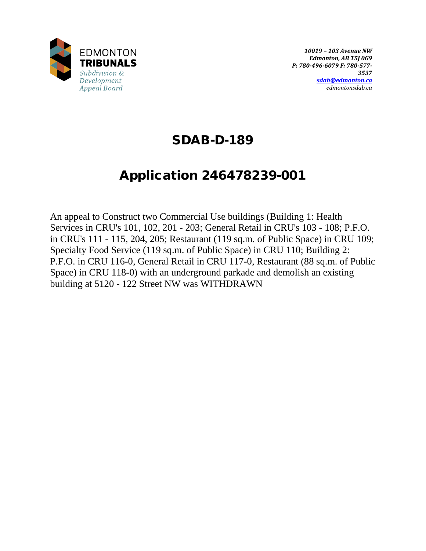

## SDAB-D-189

# Application 246478239-001

An appeal to Construct two Commercial Use buildings (Building 1: Health Services in CRU's 101, 102, 201 - 203; General Retail in CRU's 103 - 108; P.F.O. in CRU's 111 - 115, 204, 205; Restaurant (119 sq.m. of Public Space) in CRU 109; Specialty Food Service (119 sq.m. of Public Space) in CRU 110; Building 2: P.F.O. in CRU 116-0, General Retail in CRU 117-0, Restaurant (88 sq.m. of Public Space) in CRU 118-0) with an underground parkade and demolish an existing building at 5120 - 122 Street NW was WITHDRAWN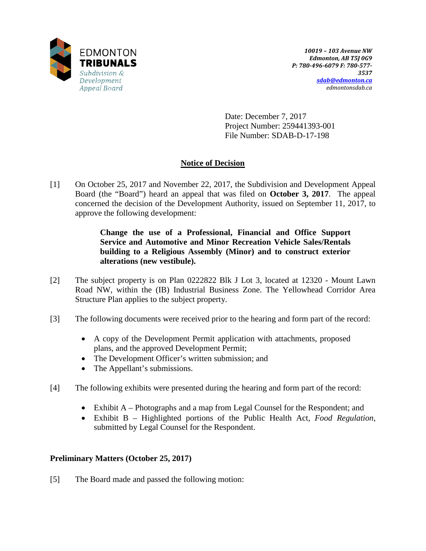

Date: December 7, 2017 Project Number: 259441393-001 File Number: SDAB-D-17-198

## **Notice of Decision**

[1] On October 25, 2017 and November 22, 2017, the Subdivision and Development Appeal Board (the "Board") heard an appeal that was filed on **October 3, 2017**. The appeal concerned the decision of the Development Authority, issued on September 11, 2017, to approve the following development:

> **Change the use of a Professional, Financial and Office Support Service and Automotive and Minor Recreation Vehicle Sales/Rentals building to a Religious Assembly (Minor) and to construct exterior alterations (new vestibule).**

- [2] The subject property is on Plan 0222822 Blk J Lot 3, located at 12320 Mount Lawn Road NW, within the (IB) Industrial Business Zone. The Yellowhead Corridor Area Structure Plan applies to the subject property.
- [3] The following documents were received prior to the hearing and form part of the record:
	- A copy of the Development Permit application with attachments, proposed plans, and the approved Development Permit;
	- The Development Officer's written submission; and
	- The Appellant's submissions.
- [4] The following exhibits were presented during the hearing and form part of the record:
	- Exhibit A Photographs and a map from Legal Counsel for the Respondent; and
	- Exhibit B Highlighted portions of the Public Health Act, *Food Regulation*, submitted by Legal Counsel for the Respondent.

## **Preliminary Matters (October 25, 2017)**

[5] The Board made and passed the following motion: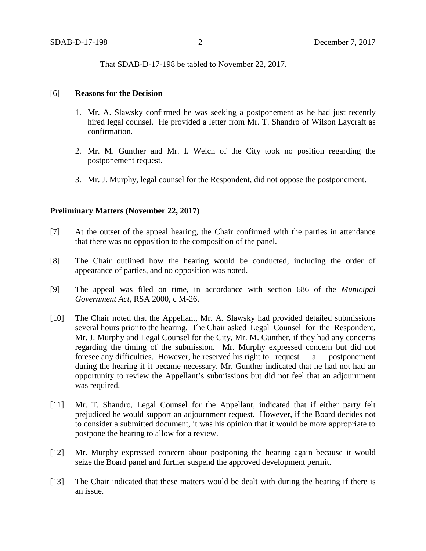That SDAB-D-17-198 be tabled to November 22, 2017.

#### [6] **Reasons for the Decision**

- 1. Mr. A. Slawsky confirmed he was seeking a postponement as he had just recently hired legal counsel. He provided a letter from Mr. T. Shandro of Wilson Laycraft as confirmation.
- 2. Mr. M. Gunther and Mr. I. Welch of the City took no position regarding the postponement request.
- 3. Mr. J. Murphy, legal counsel for the Respondent, did not oppose the postponement.

#### **Preliminary Matters (November 22, 2017)**

- [7] At the outset of the appeal hearing, the Chair confirmed with the parties in attendance that there was no opposition to the composition of the panel.
- [8] The Chair outlined how the hearing would be conducted, including the order of appearance of parties, and no opposition was noted.
- [9] The appeal was filed on time, in accordance with section 686 of the *Municipal Government Act*, RSA 2000, c M-26.
- [10] The Chair noted that the Appellant, Mr. A. Slawsky had provided detailed submissions several hours prior to the hearing. The Chair asked Legal Counsel for the Respondent, Mr. J. Murphy and Legal Counsel for the City, Mr. M. Gunther, if they had any concerns regarding the timing of the submission. Mr. Murphy expressed concern but did not foresee any difficulties. However, he reserved his right to request a postponement during the hearing if it became necessary. Mr. Gunther indicated that he had not had an opportunity to review the Appellant's submissions but did not feel that an adjournment was required.
- [11] Mr. T. Shandro, Legal Counsel for the Appellant, indicated that if either party felt prejudiced he would support an adjournment request. However, if the Board decides not to consider a submitted document, it was his opinion that it would be more appropriate to postpone the hearing to allow for a review.
- [12] Mr. Murphy expressed concern about postponing the hearing again because it would seize the Board panel and further suspend the approved development permit.
- [13] The Chair indicated that these matters would be dealt with during the hearing if there is an issue.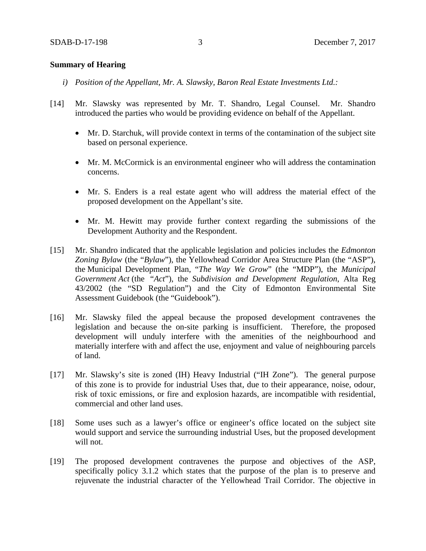#### **Summary of Hearing**

- *i) Position of the Appellant, Mr. A. Slawsky, Baron Real Estate Investments Ltd.:*
- [14] Mr. Slawsky was represented by Mr. T. Shandro, Legal Counsel. Mr. Shandro introduced the parties who would be providing evidence on behalf of the Appellant.
	- Mr. D. Starchuk, will provide context in terms of the contamination of the subject site based on personal experience.
	- Mr. M. McCormick is an environmental engineer who will address the contamination concerns.
	- Mr. S. Enders is a real estate agent who will address the material effect of the proposed development on the Appellant's site.
	- Mr. M. Hewitt may provide further context regarding the submissions of the Development Authority and the Respondent.
- [15] Mr. Shandro indicated that the applicable legislation and policies includes the *Edmonton Zoning Bylaw* (the "*Bylaw*"), the Yellowhead Corridor Area Structure Plan (the "ASP"), the Municipal Development Plan, "*The Way We Grow*" (the "MDP"), the *Municipal Government Act* (the "*Act*"), the *Subdivision and Development Regulation*, Alta Reg 43/2002 (the "SD Regulation") and the City of Edmonton Environmental Site Assessment Guidebook (the "Guidebook").
- [16] Mr. Slawsky filed the appeal because the proposed development contravenes the legislation and because the on-site parking is insufficient. Therefore, the proposed development will unduly interfere with the amenities of the neighbourhood and materially interfere with and affect the use, enjoyment and value of neighbouring parcels of land.
- [17] Mr. Slawsky's site is zoned (IH) Heavy Industrial ("IH Zone"). The general purpose of this zone is to provide for industrial Uses that, due to their appearance, noise, odour, risk of toxic emissions, or fire and explosion hazards, are incompatible with residential, commercial and other land uses.
- [18] Some uses such as a lawyer's office or engineer's office located on the subject site would support and service the surrounding industrial Uses, but the proposed development will not.
- [19] The proposed development contravenes the purpose and objectives of the ASP, specifically policy 3.1.2 which states that the purpose of the plan is to preserve and rejuvenate the industrial character of the Yellowhead Trail Corridor. The objective in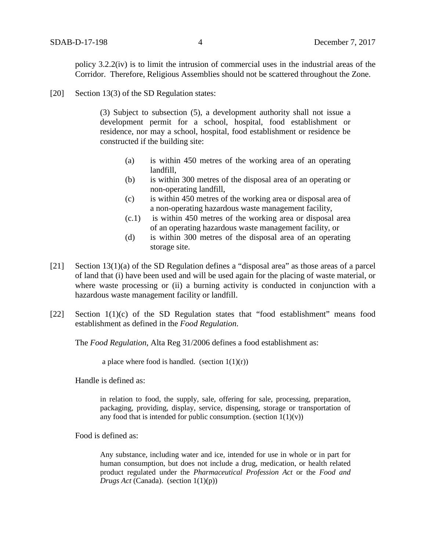policy 3.2.2(iv) is to limit the intrusion of commercial uses in the industrial areas of the Corridor. Therefore, Religious Assemblies should not be scattered throughout the Zone.

[20] Section 13(3) of the SD Regulation states:

(3) Subject to subsection (5), a development authority shall not issue a development permit for a school, hospital, food establishment or residence, nor may a school, hospital, food establishment or residence be constructed if the building site:

- (a) is within 450 metres of the working area of an operating landfill,
- (b) is within 300 metres of the disposal area of an operating or non-operating landfill,
- (c) is within 450 metres of the working area or disposal area of a non-operating hazardous waste management facility,
- (c.1) is within 450 metres of the working area or disposal area of an operating hazardous waste management facility, or
- (d) is within 300 metres of the disposal area of an operating storage site.
- [21] Section 13(1)(a) of the SD Regulation defines a "disposal area" as those areas of a parcel of land that (i) have been used and will be used again for the placing of waste material, or where waste processing or (ii) a burning activity is conducted in conjunction with a hazardous waste management facility or landfill.
- [22] Section 1(1)(c) of the SD Regulation states that "food establishment" means food establishment as defined in the *Food Regulation*.

The *Food Regulation*, Alta Reg 31/2006 defines a food establishment as:

a place where food is handled. (section  $1(1)(r)$ )

Handle is defined as:

in relation to food, the supply, sale, offering for sale, processing, preparation, packaging, providing, display, service, dispensing, storage or transportation of any food that is intended for public consumption. (section  $1(1)(v)$ )

Food is defined as:

Any substance, including water and ice, intended for use in whole or in part for human consumption, but does not include a drug, medication, or health related product regulated under the *Pharmaceutical Profession Act* or the *Food and Drugs Act* (Canada). (section 1(1)(p))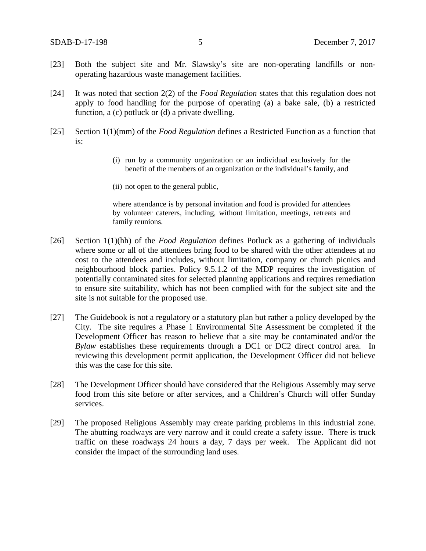- [23] Both the subject site and Mr. Slawsky's site are non-operating landfills or nonoperating hazardous waste management facilities.
- [24] It was noted that section 2(2) of the *Food Regulation* states that this regulation does not apply to food handling for the purpose of operating (a) a bake sale, (b) a restricted function, a (c) potluck or (d) a private dwelling.
- [25] Section 1(1)(mm) of the *Food Regulation* defines a Restricted Function as a function that is:
	- (i) run by a community organization or an individual exclusively for the benefit of the members of an organization or the individual's family, and
	- (ii) not open to the general public,

where attendance is by personal invitation and food is provided for attendees by volunteer caterers, including, without limitation, meetings, retreats and family reunions.

- [26] Section 1(1)(hh) of the *Food Regulation* defines Potluck as a gathering of individuals where some or all of the attendees bring food to be shared with the other attendees at no cost to the attendees and includes, without limitation, company or church picnics and neighbourhood block parties. Policy 9.5.1.2 of the MDP requires the investigation of potentially contaminated sites for selected planning applications and requires remediation to ensure site suitability, which has not been complied with for the subject site and the site is not suitable for the proposed use.
- [27] The Guidebook is not a regulatory or a statutory plan but rather a policy developed by the City. The site requires a Phase 1 Environmental Site Assessment be completed if the Development Officer has reason to believe that a site may be contaminated and/or the *Bylaw* establishes these requirements through a DC1 or DC2 direct control area. In reviewing this development permit application, the Development Officer did not believe this was the case for this site.
- [28] The Development Officer should have considered that the Religious Assembly may serve food from this site before or after services, and a Children's Church will offer Sunday services.
- [29] The proposed Religious Assembly may create parking problems in this industrial zone. The abutting roadways are very narrow and it could create a safety issue. There is truck traffic on these roadways 24 hours a day, 7 days per week. The Applicant did not consider the impact of the surrounding land uses.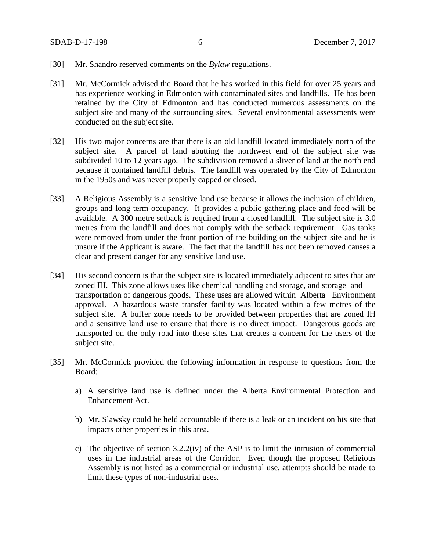- [30] Mr. Shandro reserved comments on the *Bylaw* regulations.
- [31] Mr. McCormick advised the Board that he has worked in this field for over 25 years and has experience working in Edmonton with contaminated sites and landfills. He has been retained by the City of Edmonton and has conducted numerous assessments on the subject site and many of the surrounding sites. Several environmental assessments were conducted on the subject site.
- [32] His two major concerns are that there is an old landfill located immediately north of the subject site. A parcel of land abutting the northwest end of the subject site was subdivided 10 to 12 years ago. The subdivision removed a sliver of land at the north end because it contained landfill debris. The landfill was operated by the City of Edmonton in the 1950s and was never properly capped or closed.
- [33] A Religious Assembly is a sensitive land use because it allows the inclusion of children, groups and long term occupancy. It provides a public gathering place and food will be available. A 300 metre setback is required from a closed landfill. The subject site is 3.0 metres from the landfill and does not comply with the setback requirement. Gas tanks were removed from under the front portion of the building on the subject site and he is unsure if the Applicant is aware. The fact that the landfill has not been removed causes a clear and present danger for any sensitive land use.
- [34] His second concern is that the subject site is located immediately adjacent to sites that are zoned IH. This zone allows uses like chemical handling and storage, and storage and transportation of dangerous goods. These uses are allowed within Alberta Environment approval. A hazardous waste transfer facility was located within a few metres of the subject site. A buffer zone needs to be provided between properties that are zoned IH and a sensitive land use to ensure that there is no direct impact. Dangerous goods are transported on the only road into these sites that creates a concern for the users of the subject site.
- [35] Mr. McCormick provided the following information in response to questions from the Board:
	- a) A sensitive land use is defined under the Alberta Environmental Protection and Enhancement Act.
	- b) Mr. Slawsky could be held accountable if there is a leak or an incident on his site that impacts other properties in this area.
	- c) The objective of section  $3.2.2$ (iv) of the ASP is to limit the intrusion of commercial uses in the industrial areas of the Corridor. Even though the proposed Religious Assembly is not listed as a commercial or industrial use, attempts should be made to limit these types of non-industrial uses.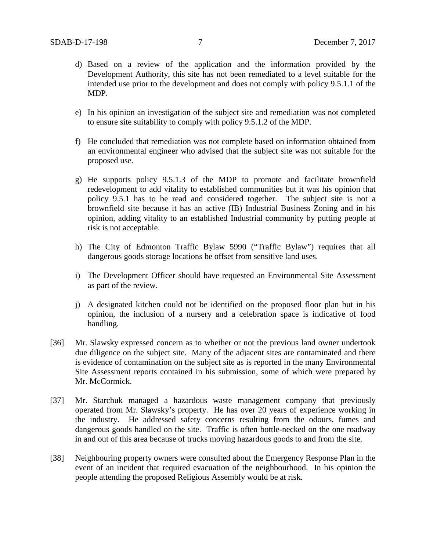- d) Based on a review of the application and the information provided by the Development Authority, this site has not been remediated to a level suitable for the intended use prior to the development and does not comply with policy 9.5.1.1 of the MDP.
- e) In his opinion an investigation of the subject site and remediation was not completed to ensure site suitability to comply with policy 9.5.1.2 of the MDP.
- f) He concluded that remediation was not complete based on information obtained from an environmental engineer who advised that the subject site was not suitable for the proposed use.
- g) He supports policy 9.5.1.3 of the MDP to promote and facilitate brownfield redevelopment to add vitality to established communities but it was his opinion that policy 9.5.1 has to be read and considered together. The subject site is not a brownfield site because it has an active (IB) Industrial Business Zoning and in his opinion, adding vitality to an established Industrial community by putting people at risk is not acceptable.
- h) The City of Edmonton Traffic Bylaw 5990 ("Traffic Bylaw") requires that all dangerous goods storage locations be offset from sensitive land uses.
- i) The Development Officer should have requested an Environmental Site Assessment as part of the review.
- j) A designated kitchen could not be identified on the proposed floor plan but in his opinion, the inclusion of a nursery and a celebration space is indicative of food handling.
- [36] Mr. Slawsky expressed concern as to whether or not the previous land owner undertook due diligence on the subject site. Many of the adjacent sites are contaminated and there is evidence of contamination on the subject site as is reported in the many Environmental Site Assessment reports contained in his submission, some of which were prepared by Mr. McCormick.
- [37] Mr. Starchuk managed a hazardous waste management company that previously operated from Mr. Slawsky's property. He has over 20 years of experience working in the industry. He addressed safety concerns resulting from the odours, fumes and dangerous goods handled on the site. Traffic is often bottle-necked on the one roadway in and out of this area because of trucks moving hazardous goods to and from the site.
- [38] Neighbouring property owners were consulted about the Emergency Response Plan in the event of an incident that required evacuation of the neighbourhood. In his opinion the people attending the proposed Religious Assembly would be at risk.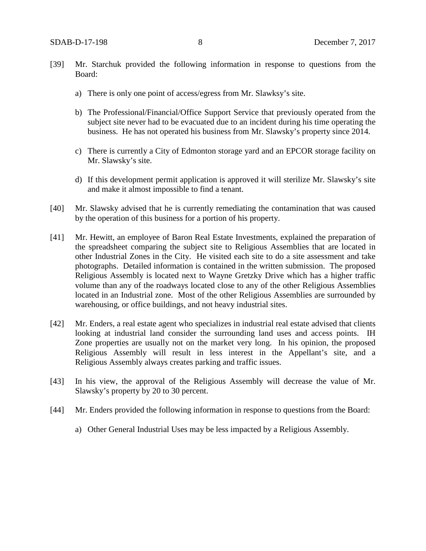- [39] Mr. Starchuk provided the following information in response to questions from the Board:
	- a) There is only one point of access/egress from Mr. Slawksy's site.
	- b) The Professional/Financial/Office Support Service that previously operated from the subject site never had to be evacuated due to an incident during his time operating the business. He has not operated his business from Mr. Slawsky's property since 2014.
	- c) There is currently a City of Edmonton storage yard and an EPCOR storage facility on Mr. Slawsky's site.
	- d) If this development permit application is approved it will sterilize Mr. Slawsky's site and make it almost impossible to find a tenant.
- [40] Mr. Slawsky advised that he is currently remediating the contamination that was caused by the operation of this business for a portion of his property.
- [41] Mr. Hewitt, an employee of Baron Real Estate Investments, explained the preparation of the spreadsheet comparing the subject site to Religious Assemblies that are located in other Industrial Zones in the City. He visited each site to do a site assessment and take photographs. Detailed information is contained in the written submission. The proposed Religious Assembly is located next to Wayne Gretzky Drive which has a higher traffic volume than any of the roadways located close to any of the other Religious Assemblies located in an Industrial zone. Most of the other Religious Assemblies are surrounded by warehousing, or office buildings, and not heavy industrial sites.
- [42] Mr. Enders, a real estate agent who specializes in industrial real estate advised that clients looking at industrial land consider the surrounding land uses and access points. IH Zone properties are usually not on the market very long. In his opinion, the proposed Religious Assembly will result in less interest in the Appellant's site, and a Religious Assembly always creates parking and traffic issues.
- [43] In his view, the approval of the Religious Assembly will decrease the value of Mr. Slawsky's property by 20 to 30 percent.
- [44] Mr. Enders provided the following information in response to questions from the Board:
	- a) Other General Industrial Uses may be less impacted by a Religious Assembly.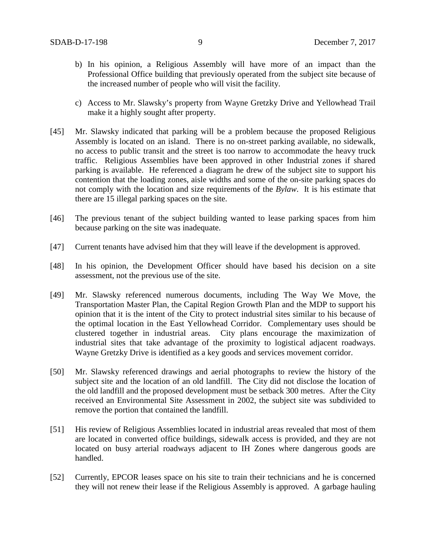- b) In his opinion, a Religious Assembly will have more of an impact than the Professional Office building that previously operated from the subject site because of the increased number of people who will visit the facility.
- c) Access to Mr. Slawsky's property from Wayne Gretzky Drive and Yellowhead Trail make it a highly sought after property.
- [45] Mr. Slawsky indicated that parking will be a problem because the proposed Religious Assembly is located on an island. There is no on-street parking available, no sidewalk, no access to public transit and the street is too narrow to accommodate the heavy truck traffic. Religious Assemblies have been approved in other Industrial zones if shared parking is available. He referenced a diagram he drew of the subject site to support his contention that the loading zones, aisle widths and some of the on-site parking spaces do not comply with the location and size requirements of the *Bylaw*. It is his estimate that there are 15 illegal parking spaces on the site.
- [46] The previous tenant of the subject building wanted to lease parking spaces from him because parking on the site was inadequate.
- [47] Current tenants have advised him that they will leave if the development is approved.
- [48] In his opinion, the Development Officer should have based his decision on a site assessment, not the previous use of the site.
- [49] Mr. Slawsky referenced numerous documents, including The Way We Move, the Transportation Master Plan, the Capital Region Growth Plan and the MDP to support his opinion that it is the intent of the City to protect industrial sites similar to his because of the optimal location in the East Yellowhead Corridor. Complementary uses should be clustered together in industrial areas. City plans encourage the maximization of industrial sites that take advantage of the proximity to logistical adjacent roadways. Wayne Gretzky Drive is identified as a key goods and services movement corridor.
- [50] Mr. Slawsky referenced drawings and aerial photographs to review the history of the subject site and the location of an old landfill. The City did not disclose the location of the old landfill and the proposed development must be setback 300 metres. After the City received an Environmental Site Assessment in 2002, the subject site was subdivided to remove the portion that contained the landfill.
- [51] His review of Religious Assemblies located in industrial areas revealed that most of them are located in converted office buildings, sidewalk access is provided, and they are not located on busy arterial roadways adjacent to IH Zones where dangerous goods are handled.
- [52] Currently, EPCOR leases space on his site to train their technicians and he is concerned they will not renew their lease if the Religious Assembly is approved. A garbage hauling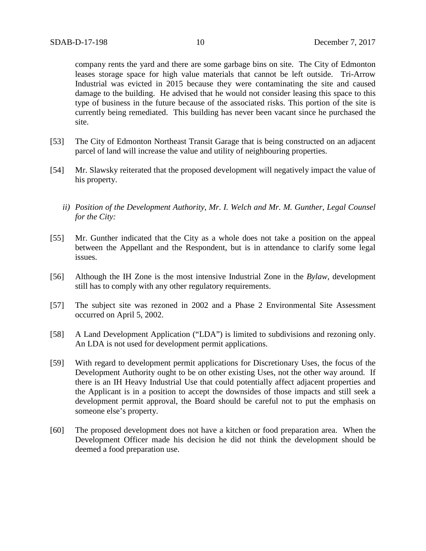company rents the yard and there are some garbage bins on site. The City of Edmonton leases storage space for high value materials that cannot be left outside. Tri-Arrow Industrial was evicted in 2015 because they were contaminating the site and caused damage to the building. He advised that he would not consider leasing this space to this type of business in the future because of the associated risks. This portion of the site is currently being remediated. This building has never been vacant since he purchased the site.

- [53] The City of Edmonton Northeast Transit Garage that is being constructed on an adjacent parcel of land will increase the value and utility of neighbouring properties.
- [54] Mr. Slawsky reiterated that the proposed development will negatively impact the value of his property.
	- *ii) Position of the Development Authority, Mr. I. Welch and Mr. M. Gunther, Legal Counsel for the City:*
- [55] Mr. Gunther indicated that the City as a whole does not take a position on the appeal between the Appellant and the Respondent, but is in attendance to clarify some legal issues.
- [56] Although the IH Zone is the most intensive Industrial Zone in the *Bylaw*, development still has to comply with any other regulatory requirements.
- [57] The subject site was rezoned in 2002 and a Phase 2 Environmental Site Assessment occurred on April 5, 2002.
- [58] A Land Development Application ("LDA") is limited to subdivisions and rezoning only. An LDA is not used for development permit applications.
- [59] With regard to development permit applications for Discretionary Uses, the focus of the Development Authority ought to be on other existing Uses, not the other way around. If there is an IH Heavy Industrial Use that could potentially affect adjacent properties and the Applicant is in a position to accept the downsides of those impacts and still seek a development permit approval, the Board should be careful not to put the emphasis on someone else's property.
- [60] The proposed development does not have a kitchen or food preparation area. When the Development Officer made his decision he did not think the development should be deemed a food preparation use.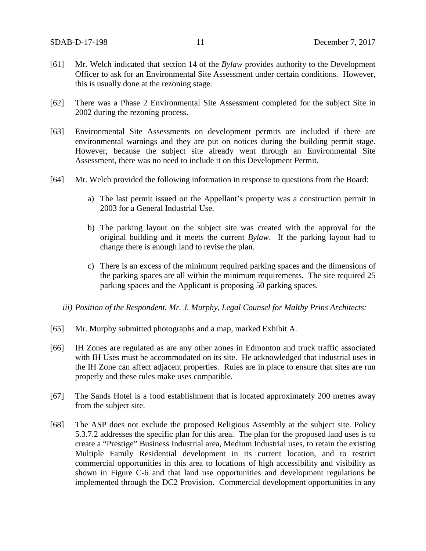- [61] Mr. Welch indicated that section 14 of the *Bylaw* provides authority to the Development Officer to ask for an Environmental Site Assessment under certain conditions. However, this is usually done at the rezoning stage.
- [62] There was a Phase 2 Environmental Site Assessment completed for the subject Site in 2002 during the rezoning process.
- [63] Environmental Site Assessments on development permits are included if there are environmental warnings and they are put on notices during the building permit stage. However, because the subject site already went through an Environmental Site Assessment, there was no need to include it on this Development Permit.
- [64] Mr. Welch provided the following information in response to questions from the Board:
	- a) The last permit issued on the Appellant's property was a construction permit in 2003 for a General Industrial Use.
	- b) The parking layout on the subject site was created with the approval for the original building and it meets the current *Bylaw*. If the parking layout had to change there is enough land to revise the plan.
	- c) There is an excess of the minimum required parking spaces and the dimensions of the parking spaces are all within the minimum requirements. The site required 25 parking spaces and the Applicant is proposing 50 parking spaces.
	- *iii) Position of the Respondent, Mr. J. Murphy, Legal Counsel for Maltby Prins Architects:*
- [65] Mr. Murphy submitted photographs and a map, marked Exhibit A.
- [66] IH Zones are regulated as are any other zones in Edmonton and truck traffic associated with IH Uses must be accommodated on its site. He acknowledged that industrial uses in the IH Zone can affect adjacent properties. Rules are in place to ensure that sites are run properly and these rules make uses compatible.
- [67] The Sands Hotel is a food establishment that is located approximately 200 metres away from the subject site.
- [68] The ASP does not exclude the proposed Religious Assembly at the subject site. Policy 5.3.7.2 addresses the specific plan for this area. The plan for the proposed land uses is to create a "Prestige" Business Industrial area, Medium Industrial uses, to retain the existing Multiple Family Residential development in its current location, and to restrict commercial opportunities in this area to locations of high accessibility and visibility as shown in Figure C-6 and that land use opportunities and development regulations be implemented through the DC2 Provision. Commercial development opportunities in any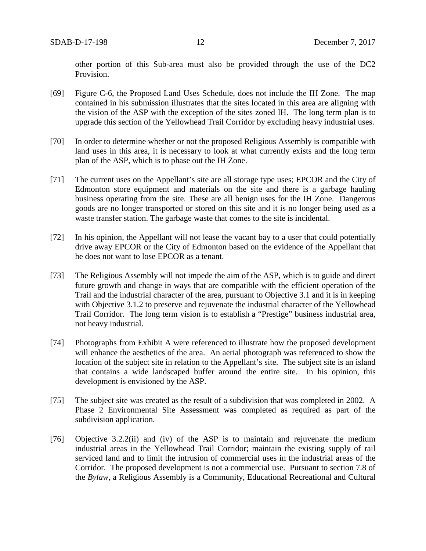other portion of this Sub-area must also be provided through the use of the DC2 Provision.

- [69] Figure C-6, the Proposed Land Uses Schedule, does not include the IH Zone. The map contained in his submission illustrates that the sites located in this area are aligning with the vision of the ASP with the exception of the sites zoned IH. The long term plan is to upgrade this section of the Yellowhead Trail Corridor by excluding heavy industrial uses.
- [70] In order to determine whether or not the proposed Religious Assembly is compatible with land uses in this area, it is necessary to look at what currently exists and the long term plan of the ASP, which is to phase out the IH Zone.
- [71] The current uses on the Appellant's site are all storage type uses; EPCOR and the City of Edmonton store equipment and materials on the site and there is a garbage hauling business operating from the site. These are all benign uses for the IH Zone. Dangerous goods are no longer transported or stored on this site and it is no longer being used as a waste transfer station. The garbage waste that comes to the site is incidental.
- [72] In his opinion, the Appellant will not lease the vacant bay to a user that could potentially drive away EPCOR or the City of Edmonton based on the evidence of the Appellant that he does not want to lose EPCOR as a tenant.
- [73] The Religious Assembly will not impede the aim of the ASP, which is to guide and direct future growth and change in ways that are compatible with the efficient operation of the Trail and the industrial character of the area, pursuant to Objective 3.1 and it is in keeping with Objective 3.1.2 to preserve and rejuvenate the industrial character of the Yellowhead Trail Corridor. The long term vision is to establish a "Prestige" business industrial area, not heavy industrial.
- [74] Photographs from Exhibit A were referenced to illustrate how the proposed development will enhance the aesthetics of the area. An aerial photograph was referenced to show the location of the subject site in relation to the Appellant's site. The subject site is an island that contains a wide landscaped buffer around the entire site. In his opinion, this development is envisioned by the ASP.
- [75] The subject site was created as the result of a subdivision that was completed in 2002. A Phase 2 Environmental Site Assessment was completed as required as part of the subdivision application.
- [76] Objective 3.2.2(ii) and (iv) of the ASP is to maintain and rejuvenate the medium industrial areas in the Yellowhead Trail Corridor; maintain the existing supply of rail serviced land and to limit the intrusion of commercial uses in the industrial areas of the Corridor. The proposed development is not a commercial use. Pursuant to section 7.8 of the *Bylaw*, a Religious Assembly is a Community, Educational Recreational and Cultural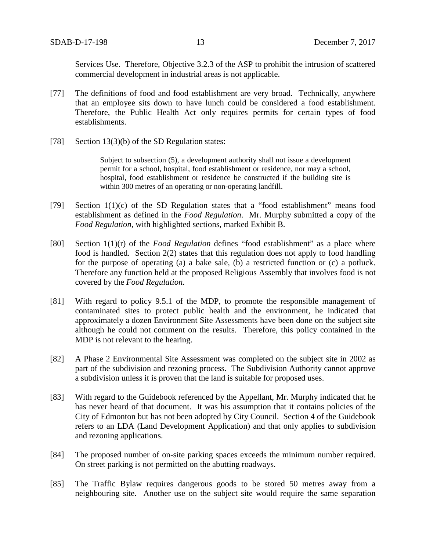Services Use. Therefore, Objective 3.2.3 of the ASP to prohibit the intrusion of scattered commercial development in industrial areas is not applicable.

- [77] The definitions of food and food establishment are very broad. Technically, anywhere that an employee sits down to have lunch could be considered a food establishment. Therefore, the Public Health Act only requires permits for certain types of food establishments.
- [78] Section 13(3)(b) of the SD Regulation states:

Subject to subsection (5), a development authority shall not issue a development permit for a school, hospital, food establishment or residence, nor may a school, hospital, food establishment or residence be constructed if the building site is within 300 metres of an operating or non-operating landfill.

- [79] Section 1(1)(c) of the SD Regulation states that a "food establishment" means food establishment as defined in the *Food Regulation*. Mr. Murphy submitted a copy of the *Food Regulation*, with highlighted sections, marked Exhibit B.
- [80] Section 1(1)(r) of the *Food Regulation* defines "food establishment" as a place where food is handled. Section 2(2) states that this regulation does not apply to food handling for the purpose of operating (a) a bake sale, (b) a restricted function or (c) a potluck. Therefore any function held at the proposed Religious Assembly that involves food is not covered by the *Food Regulation*.
- [81] With regard to policy 9.5.1 of the MDP, to promote the responsible management of contaminated sites to protect public health and the environment, he indicated that approximately a dozen Environment Site Assessments have been done on the subject site although he could not comment on the results. Therefore, this policy contained in the MDP is not relevant to the hearing.
- [82] A Phase 2 Environmental Site Assessment was completed on the subject site in 2002 as part of the subdivision and rezoning process. The Subdivision Authority cannot approve a subdivision unless it is proven that the land is suitable for proposed uses.
- [83] With regard to the Guidebook referenced by the Appellant, Mr. Murphy indicated that he has never heard of that document. It was his assumption that it contains policies of the City of Edmonton but has not been adopted by City Council. Section 4 of the Guidebook refers to an LDA (Land Development Application) and that only applies to subdivision and rezoning applications.
- [84] The proposed number of on-site parking spaces exceeds the minimum number required. On street parking is not permitted on the abutting roadways.
- [85] The Traffic Bylaw requires dangerous goods to be stored 50 metres away from a neighbouring site. Another use on the subject site would require the same separation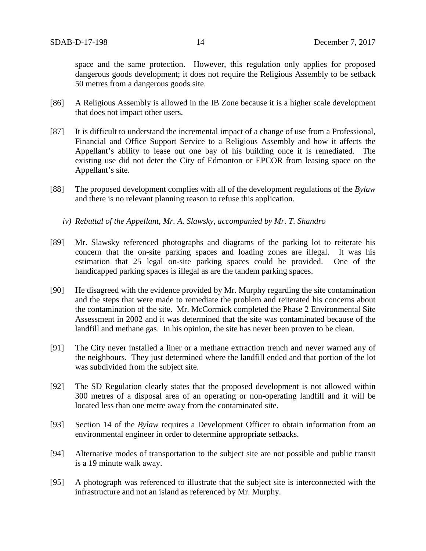space and the same protection. However, this regulation only applies for proposed dangerous goods development; it does not require the Religious Assembly to be setback 50 metres from a dangerous goods site.

- [86] A Religious Assembly is allowed in the IB Zone because it is a higher scale development that does not impact other users.
- [87] It is difficult to understand the incremental impact of a change of use from a Professional, Financial and Office Support Service to a Religious Assembly and how it affects the Appellant's ability to lease out one bay of his building once it is remediated. The existing use did not deter the City of Edmonton or EPCOR from leasing space on the Appellant's site.
- [88] The proposed development complies with all of the development regulations of the *Bylaw* and there is no relevant planning reason to refuse this application.
	- *iv) Rebuttal of the Appellant, Mr. A. Slawsky, accompanied by Mr. T. Shandro*
- [89] Mr. Slawsky referenced photographs and diagrams of the parking lot to reiterate his concern that the on-site parking spaces and loading zones are illegal. It was his estimation that 25 legal on-site parking spaces could be provided. One of the handicapped parking spaces is illegal as are the tandem parking spaces.
- [90] He disagreed with the evidence provided by Mr. Murphy regarding the site contamination and the steps that were made to remediate the problem and reiterated his concerns about the contamination of the site. Mr. McCormick completed the Phase 2 Environmental Site Assessment in 2002 and it was determined that the site was contaminated because of the landfill and methane gas. In his opinion, the site has never been proven to be clean.
- [91] The City never installed a liner or a methane extraction trench and never warned any of the neighbours. They just determined where the landfill ended and that portion of the lot was subdivided from the subject site.
- [92] The SD Regulation clearly states that the proposed development is not allowed within 300 metres of a disposal area of an operating or non-operating landfill and it will be located less than one metre away from the contaminated site.
- [93] Section 14 of the *Bylaw* requires a Development Officer to obtain information from an environmental engineer in order to determine appropriate setbacks.
- [94] Alternative modes of transportation to the subject site are not possible and public transit is a 19 minute walk away.
- [95] A photograph was referenced to illustrate that the subject site is interconnected with the infrastructure and not an island as referenced by Mr. Murphy.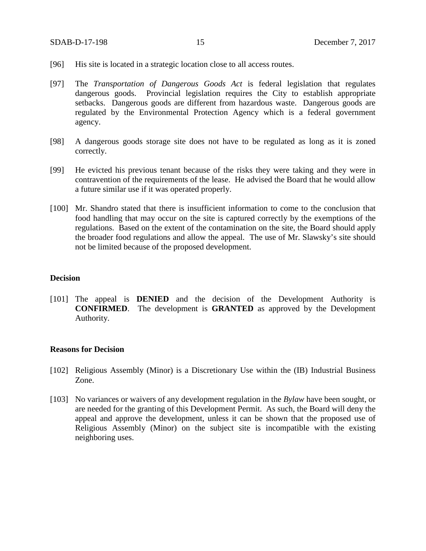- [96] His site is located in a strategic location close to all access routes.
- [97] The *Transportation of Dangerous Goods Act* is federal legislation that regulates dangerous goods. Provincial legislation requires the City to establish appropriate setbacks. Dangerous goods are different from hazardous waste. Dangerous goods are regulated by the Environmental Protection Agency which is a federal government agency.
- [98] A dangerous goods storage site does not have to be regulated as long as it is zoned correctly.
- [99] He evicted his previous tenant because of the risks they were taking and they were in contravention of the requirements of the lease. He advised the Board that he would allow a future similar use if it was operated properly.
- [100] Mr. Shandro stated that there is insufficient information to come to the conclusion that food handling that may occur on the site is captured correctly by the exemptions of the regulations. Based on the extent of the contamination on the site, the Board should apply the broader food regulations and allow the appeal. The use of Mr. Slawsky's site should not be limited because of the proposed development.

#### **Decision**

[101] The appeal is **DENIED** and the decision of the Development Authority is **CONFIRMED**. The development is **GRANTED** as approved by the Development Authority.

#### **Reasons for Decision**

- [102] Religious Assembly (Minor) is a Discretionary Use within the (IB) Industrial Business Zone.
- [103] No variances or waivers of any development regulation in the *Bylaw* have been sought, or are needed for the granting of this Development Permit. As such, the Board will deny the appeal and approve the development, unless it can be shown that the proposed use of Religious Assembly (Minor) on the subject site is incompatible with the existing neighboring uses.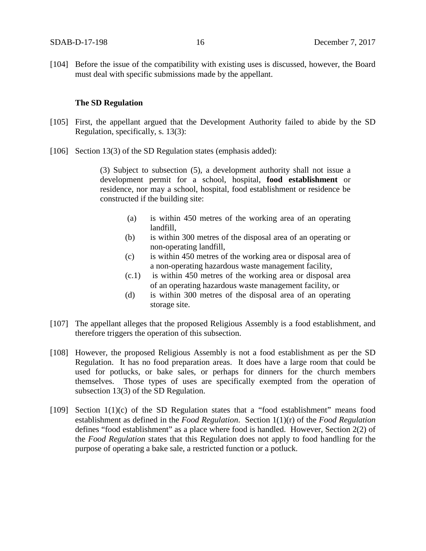[104] Before the issue of the compatibility with existing uses is discussed, however, the Board must deal with specific submissions made by the appellant.

#### **The SD Regulation**

- [105] First, the appellant argued that the Development Authority failed to abide by the SD Regulation, specifically, s. 13(3):
- [106] Section 13(3) of the SD Regulation states (emphasis added):

(3) Subject to subsection (5), a development authority shall not issue a development permit for a school, hospital, **food establishment** or residence, nor may a school, hospital, food establishment or residence be constructed if the building site:

- (a) is within 450 metres of the working area of an operating landfill,
- (b) is within 300 metres of the disposal area of an operating or non-operating landfill,
- (c) is within 450 metres of the working area or disposal area of a non-operating hazardous waste management facility,
- (c.1) is within 450 metres of the working area or disposal area of an operating hazardous waste management facility, or
- (d) is within 300 metres of the disposal area of an operating storage site.
- [107] The appellant alleges that the proposed Religious Assembly is a food establishment, and therefore triggers the operation of this subsection.
- [108] However, the proposed Religious Assembly is not a food establishment as per the SD Regulation. It has no food preparation areas. It does have a large room that could be used for potlucks, or bake sales, or perhaps for dinners for the church members themselves. Those types of uses are specifically exempted from the operation of subsection 13(3) of the SD Regulation.
- [109] Section 1(1)(c) of the SD Regulation states that a "food establishment" means food establishment as defined in the *Food Regulation*. Section 1(1)(r) of the *Food Regulation* defines "food establishment" as a place where food is handled. However, Section 2(2) of the *Food Regulation* states that this Regulation does not apply to food handling for the purpose of operating a bake sale, a restricted function or a potluck.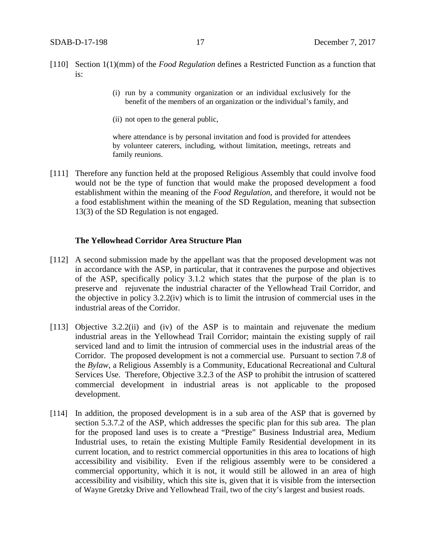- [110] Section 1(1)(mm) of the *Food Regulation* defines a Restricted Function as a function that is:
	- (i) run by a community organization or an individual exclusively for the benefit of the members of an organization or the individual's family, and
	- (ii) not open to the general public,

where attendance is by personal invitation and food is provided for attendees by volunteer caterers, including, without limitation, meetings, retreats and family reunions.

[111] Therefore any function held at the proposed Religious Assembly that could involve food would not be the type of function that would make the proposed development a food establishment within the meaning of the *Food Regulation*, and therefore, it would not be a food establishment within the meaning of the SD Regulation, meaning that subsection 13(3) of the SD Regulation is not engaged.

#### **The Yellowhead Corridor Area Structure Plan**

- [112] A second submission made by the appellant was that the proposed development was not in accordance with the ASP, in particular, that it contravenes the purpose and objectives of the ASP, specifically policy 3.1.2 which states that the purpose of the plan is to preserve and rejuvenate the industrial character of the Yellowhead Trail Corridor, and the objective in policy 3.2.2(iv) which is to limit the intrusion of commercial uses in the industrial areas of the Corridor.
- [113] Objective 3.2.2(ii) and (iv) of the ASP is to maintain and rejuvenate the medium industrial areas in the Yellowhead Trail Corridor; maintain the existing supply of rail serviced land and to limit the intrusion of commercial uses in the industrial areas of the Corridor. The proposed development is not a commercial use. Pursuant to section 7.8 of the *Bylaw*, a Religious Assembly is a Community, Educational Recreational and Cultural Services Use. Therefore, Objective 3.2.3 of the ASP to prohibit the intrusion of scattered commercial development in industrial areas is not applicable to the proposed development.
- [114] In addition, the proposed development is in a sub area of the ASP that is governed by section 5.3.7.2 of the ASP, which addresses the specific plan for this sub area. The plan for the proposed land uses is to create a "Prestige" Business Industrial area, Medium Industrial uses, to retain the existing Multiple Family Residential development in its current location, and to restrict commercial opportunities in this area to locations of high accessibility and visibility. Even if the religious assembly were to be considered a commercial opportunity, which it is not, it would still be allowed in an area of high accessibility and visibility, which this site is, given that it is visible from the intersection of Wayne Gretzky Drive and Yellowhead Trail, two of the city's largest and busiest roads.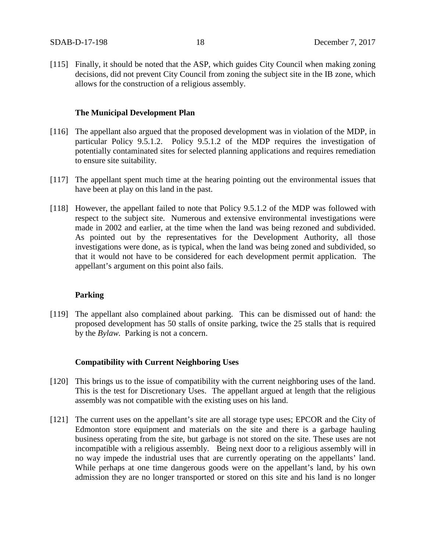[115] Finally, it should be noted that the ASP, which guides City Council when making zoning decisions, did not prevent City Council from zoning the subject site in the IB zone, which allows for the construction of a religious assembly.

#### **The Municipal Development Plan**

- [116] The appellant also argued that the proposed development was in violation of the MDP, in particular Policy 9.5.1.2. Policy 9.5.1.2 of the MDP requires the investigation of potentially contaminated sites for selected planning applications and requires remediation to ensure site suitability.
- [117] The appellant spent much time at the hearing pointing out the environmental issues that have been at play on this land in the past.
- [118] However, the appellant failed to note that Policy 9.5.1.2 of the MDP was followed with respect to the subject site. Numerous and extensive environmental investigations were made in 2002 and earlier, at the time when the land was being rezoned and subdivided. As pointed out by the representatives for the Development Authority, all those investigations were done, as is typical, when the land was being zoned and subdivided, so that it would not have to be considered for each development permit application. The appellant's argument on this point also fails.

#### **Parking**

[119] The appellant also complained about parking. This can be dismissed out of hand: the proposed development has 50 stalls of onsite parking, twice the 25 stalls that is required by the *Bylaw.* Parking is not a concern.

#### **Compatibility with Current Neighboring Uses**

- [120] This brings us to the issue of compatibility with the current neighboring uses of the land. This is the test for Discretionary Uses. The appellant argued at length that the religious assembly was not compatible with the existing uses on his land.
- [121] The current uses on the appellant's site are all storage type uses; EPCOR and the City of Edmonton store equipment and materials on the site and there is a garbage hauling business operating from the site, but garbage is not stored on the site. These uses are not incompatible with a religious assembly. Being next door to a religious assembly will in no way impede the industrial uses that are currently operating on the appellants' land. While perhaps at one time dangerous goods were on the appellant's land, by his own admission they are no longer transported or stored on this site and his land is no longer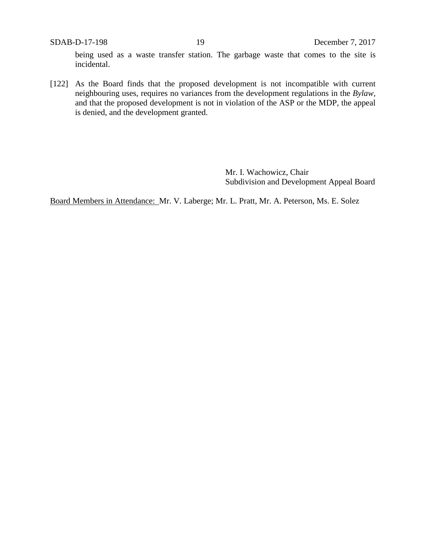SDAB-D-17-198 19 December 7, 2017 being used as a waste transfer station. The garbage waste that comes to the site is incidental.

[122] As the Board finds that the proposed development is not incompatible with current neighbouring uses, requires no variances from the development regulations in the *Bylaw,*  and that the proposed development is not in violation of the ASP or the MDP, the appeal is denied, and the development granted.

> Mr. I. Wachowicz, Chair Subdivision and Development Appeal Board

Board Members in Attendance: Mr. V. Laberge; Mr. L. Pratt, Mr. A. Peterson, Ms. E. Solez